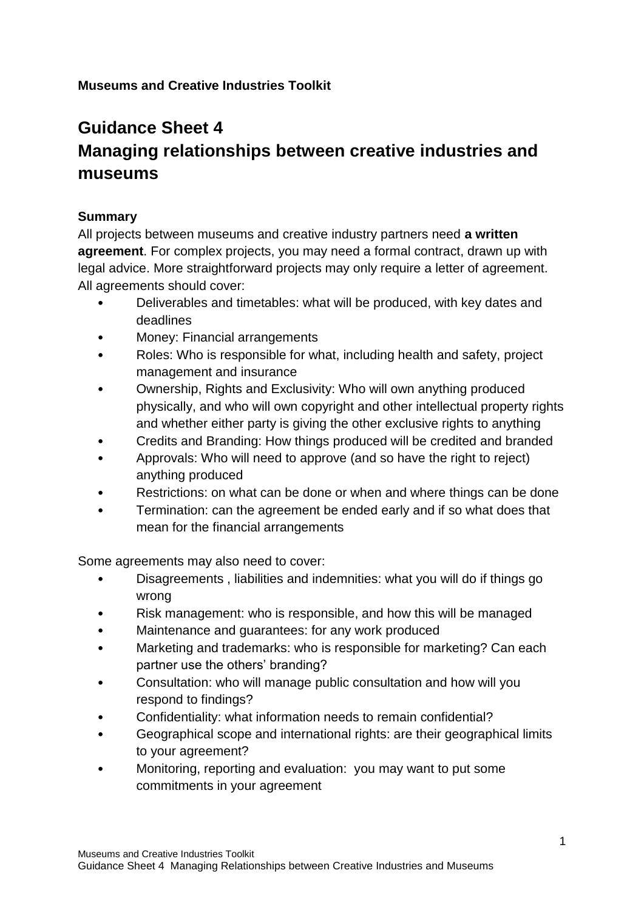# **Museums and Creative Industries Toolkit**

# **Guidance Sheet 4 Managing relationships between creative industries and museums**

# **Summary**

All projects between museums and creative industry partners need **a written agreement**. For complex projects, you may need a formal contract, drawn up with legal advice. More straightforward projects may only require a letter of agreement. All agreements should cover:

- Deliverables and timetables: what will be produced, with key dates and deadlines
- Money: Financial arrangements
- Roles: Who is responsible for what, including health and safety, project management and insurance
- Ownership, Rights and Exclusivity: Who will own anything produced physically, and who will own copyright and other intellectual property rights and whether either party is giving the other exclusive rights to anything
- Credits and Branding: How things produced will be credited and branded
- Approvals: Who will need to approve (and so have the right to reject) anything produced
- Restrictions: on what can be done or when and where things can be done
- Termination: can the agreement be ended early and if so what does that mean for the financial arrangements

Some agreements may also need to cover:

- Disagreements , liabilities and indemnities: what you will do if things go wrong
- Risk management: who is responsible, and how this will be managed
- Maintenance and quarantees: for any work produced
- Marketing and trademarks: who is responsible for marketing? Can each partner use the others' branding?
- Consultation: who will manage public consultation and how will you respond to findings?
- Confidentiality: what information needs to remain confidential?
- Geographical scope and international rights: are their geographical limits to your agreement?
- Monitoring, reporting and evaluation: you may want to put some commitments in your agreement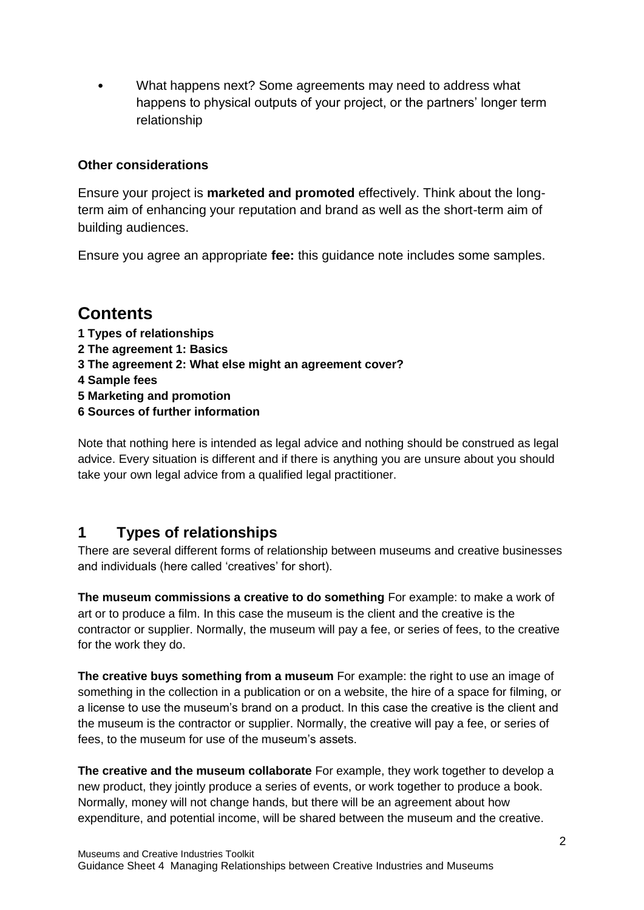• What happens next? Some agreements may need to address what happens to physical outputs of your project, or the partners' longer term relationship

# **Other considerations**

Ensure your project is **marketed and promoted** effectively. Think about the longterm aim of enhancing your reputation and brand as well as the short-term aim of building audiences.

Ensure you agree an appropriate **fee:** this guidance note includes some samples.

# **Contents**

- **1 Types of relationships**
- **2 The agreement 1: Basics**
- **3 The agreement 2: What else might an agreement cover?**
- **4 Sample fees**
- **5 Marketing and promotion**
- **6 Sources of further information**

Note that nothing here is intended as legal advice and nothing should be construed as legal advice. Every situation is different and if there is anything you are unsure about you should take your own legal advice from a qualified legal practitioner.

# **1 Types of relationships**

There are several different forms of relationship between museums and creative businesses and individuals (here called 'creatives' for short).

**The museum commissions a creative to do something** For example: to make a work of art or to produce a film. In this case the museum is the client and the creative is the contractor or supplier. Normally, the museum will pay a fee, or series of fees, to the creative for the work they do.

**The creative buys something from a museum** For example: the right to use an image of something in the collection in a publication or on a website, the hire of a space for filming, or a license to use the museum's brand on a product. In this case the creative is the client and the museum is the contractor or supplier. Normally, the creative will pay a fee, or series of fees, to the museum for use of the museum's assets.

**The creative and the museum collaborate** For example, they work together to develop a new product, they jointly produce a series of events, or work together to produce a book. Normally, money will not change hands, but there will be an agreement about how expenditure, and potential income, will be shared between the museum and the creative.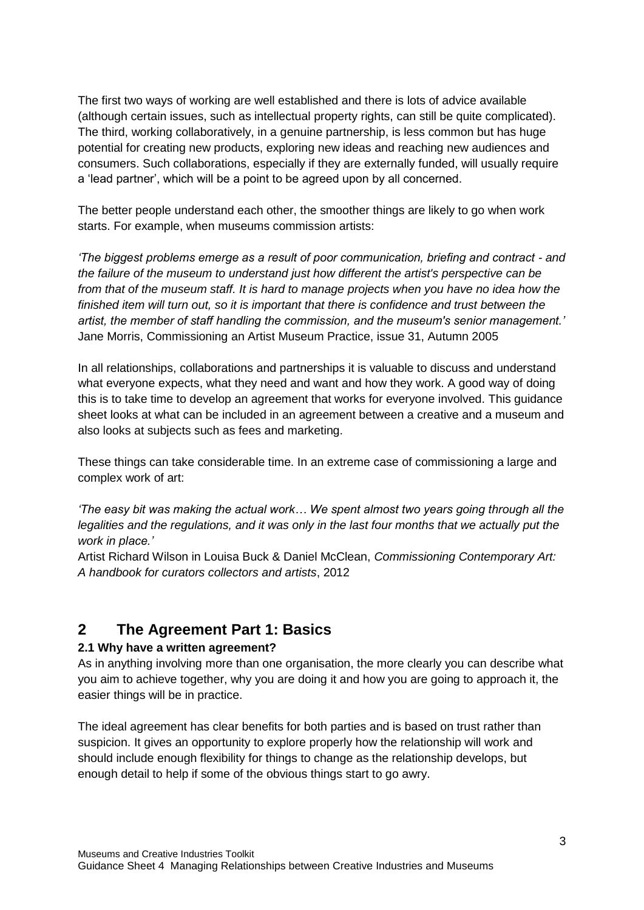The first two ways of working are well established and there is lots of advice available (although certain issues, such as intellectual property rights, can still be quite complicated). The third, working collaboratively, in a genuine partnership, is less common but has huge potential for creating new products, exploring new ideas and reaching new audiences and consumers. Such collaborations, especially if they are externally funded, will usually require a 'lead partner', which will be a point to be agreed upon by all concerned.

The better people understand each other, the smoother things are likely to go when work starts. For example, when museums commission artists:

*'The biggest problems emerge as a result of poor communication, briefing and contract - and the failure of the museum to understand just how different the artist's perspective can be from that of the museum staff. It is hard to manage projects when you have no idea how the finished item will turn out, so it is important that there is confidence and trust between the artist, the member of staff handling the commission, and the museum's senior management.'* Jane Morris, Commissioning an Artist Museum Practice, issue 31, Autumn 2005

In all relationships, collaborations and partnerships it is valuable to discuss and understand what everyone expects, what they need and want and how they work. A good way of doing this is to take time to develop an agreement that works for everyone involved. This guidance sheet looks at what can be included in an agreement between a creative and a museum and also looks at subjects such as fees and marketing.

These things can take considerable time. In an extreme case of commissioning a large and complex work of art:

*'The easy bit was making the actual work… We spent almost two years going through all the*  legalities and the regulations, and it was only in the last four months that we actually put the *work in place.'*

Artist Richard Wilson in Louisa Buck & Daniel McClean, *Commissioning Contemporary Art: A handbook for curators collectors and artists*, 2012

# **2 The Agreement Part 1: Basics**

# **2.1 Why have a written agreement?**

As in anything involving more than one organisation, the more clearly you can describe what you aim to achieve together, why you are doing it and how you are going to approach it, the easier things will be in practice.

The ideal agreement has clear benefits for both parties and is based on trust rather than suspicion. It gives an opportunity to explore properly how the relationship will work and should include enough flexibility for things to change as the relationship develops, but enough detail to help if some of the obvious things start to go awry.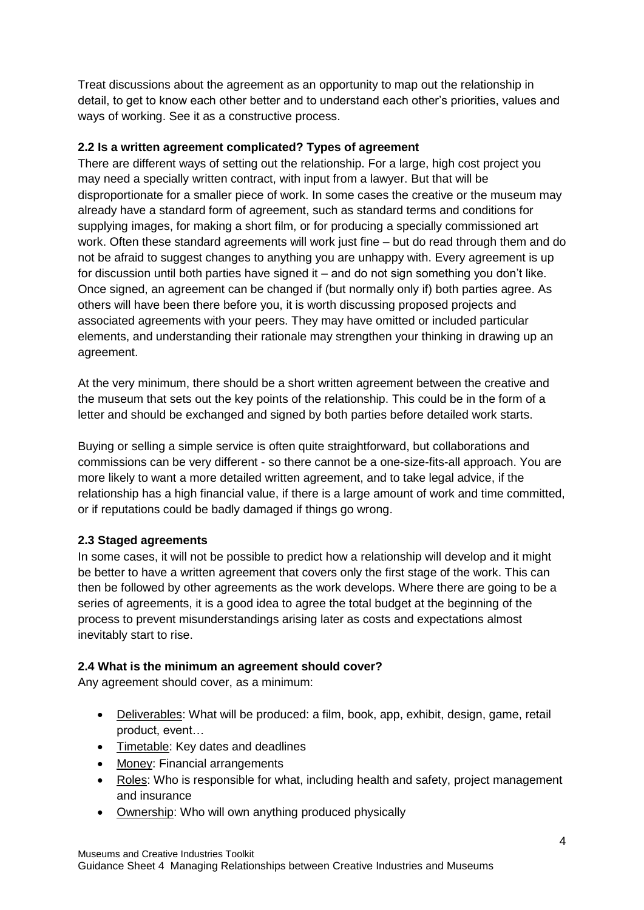Treat discussions about the agreement as an opportunity to map out the relationship in detail, to get to know each other better and to understand each other's priorities, values and ways of working. See it as a constructive process.

#### **2.2 Is a written agreement complicated? Types of agreement**

There are different ways of setting out the relationship. For a large, high cost project you may need a specially written contract, with input from a lawyer. But that will be disproportionate for a smaller piece of work. In some cases the creative or the museum may already have a standard form of agreement, such as standard terms and conditions for supplying images, for making a short film, or for producing a specially commissioned art work. Often these standard agreements will work just fine – but do read through them and do not be afraid to suggest changes to anything you are unhappy with. Every agreement is up for discussion until both parties have signed it – and do not sign something you don't like. Once signed, an agreement can be changed if (but normally only if) both parties agree. As others will have been there before you, it is worth discussing proposed projects and associated agreements with your peers. They may have omitted or included particular elements, and understanding their rationale may strengthen your thinking in drawing up an agreement.

At the very minimum, there should be a short written agreement between the creative and the museum that sets out the key points of the relationship. This could be in the form of a letter and should be exchanged and signed by both parties before detailed work starts.

Buying or selling a simple service is often quite straightforward, but collaborations and commissions can be very different - so there cannot be a one-size-fits-all approach. You are more likely to want a more detailed written agreement, and to take legal advice, if the relationship has a high financial value, if there is a large amount of work and time committed, or if reputations could be badly damaged if things go wrong.

## **2.3 Staged agreements**

In some cases, it will not be possible to predict how a relationship will develop and it might be better to have a written agreement that covers only the first stage of the work. This can then be followed by other agreements as the work develops. Where there are going to be a series of agreements, it is a good idea to agree the total budget at the beginning of the process to prevent misunderstandings arising later as costs and expectations almost inevitably start to rise.

#### **2.4 What is the minimum an agreement should cover?**

Any agreement should cover, as a minimum:

- Deliverables: What will be produced: a film, book, app, exhibit, design, game, retail product, event…
- Timetable: Key dates and deadlines
- Money: Financial arrangements
- Roles: Who is responsible for what, including health and safety, project management and insurance
- Ownership: Who will own anything produced physically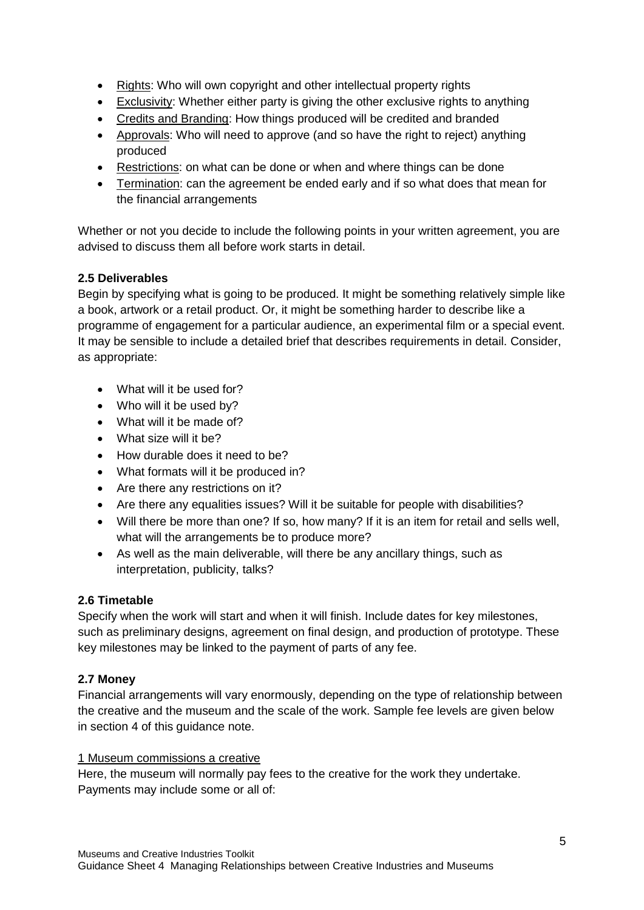- Rights: Who will own copyright and other intellectual property rights
- Exclusivity: Whether either party is giving the other exclusive rights to anything
- Credits and Branding: How things produced will be credited and branded
- Approvals: Who will need to approve (and so have the right to reject) anything produced
- Restrictions: on what can be done or when and where things can be done
- Termination: can the agreement be ended early and if so what does that mean for the financial arrangements

Whether or not you decide to include the following points in your written agreement, you are advised to discuss them all before work starts in detail.

# **2.5 Deliverables**

Begin by specifying what is going to be produced. It might be something relatively simple like a book, artwork or a retail product. Or, it might be something harder to describe like a programme of engagement for a particular audience, an experimental film or a special event. It may be sensible to include a detailed brief that describes requirements in detail. Consider, as appropriate:

- What will it be used for?
- Who will it be used by?
- What will it be made of?
- What size will it be?
- How durable does it need to be?
- What formats will it be produced in?
- Are there any restrictions on it?
- Are there any equalities issues? Will it be suitable for people with disabilities?
- Will there be more than one? If so, how many? If it is an item for retail and sells well, what will the arrangements be to produce more?
- As well as the main deliverable, will there be any ancillary things, such as interpretation, publicity, talks?

## **2.6 Timetable**

Specify when the work will start and when it will finish. Include dates for key milestones, such as preliminary designs, agreement on final design, and production of prototype. These key milestones may be linked to the payment of parts of any fee.

## **2.7 Money**

Financial arrangements will vary enormously, depending on the type of relationship between the creative and the museum and the scale of the work. Sample fee levels are given below in section 4 of this guidance note.

#### 1 Museum commissions a creative

Here, the museum will normally pay fees to the creative for the work they undertake. Payments may include some or all of: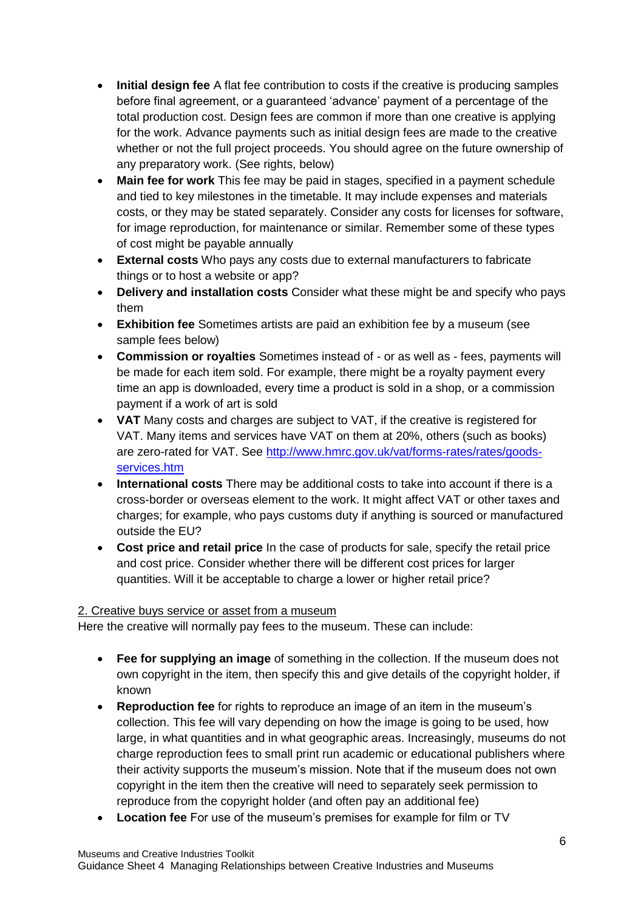- **Initial design fee** A flat fee contribution to costs if the creative is producing samples before final agreement, or a guaranteed 'advance' payment of a percentage of the total production cost. Design fees are common if more than one creative is applying for the work. Advance payments such as initial design fees are made to the creative whether or not the full project proceeds. You should agree on the future ownership of any preparatory work. (See rights, below)
- **Main fee for work** This fee may be paid in stages, specified in a payment schedule and tied to key milestones in the timetable. It may include expenses and materials costs, or they may be stated separately. Consider any costs for licenses for software, for image reproduction, for maintenance or similar. Remember some of these types of cost might be payable annually
- **External costs** Who pays any costs due to external manufacturers to fabricate things or to host a website or app?
- **Delivery and installation costs** Consider what these might be and specify who pays them
- **Exhibition fee** Sometimes artists are paid an exhibition fee by a museum (see sample fees below)
- **Commission or royalties** Sometimes instead of or as well as fees, payments will be made for each item sold. For example, there might be a royalty payment every time an app is downloaded, every time a product is sold in a shop, or a commission payment if a work of art is sold
- **VAT** Many costs and charges are subject to VAT, if the creative is registered for VAT. Many items and services have VAT on them at 20%, others (such as books) are zero-rated for VAT. See [http://www.hmrc.gov.uk/vat/forms-rates/rates/goods](http://www.hmrc.gov.uk/vat/forms-rates/rates/goods-services.htm)[services.htm](http://www.hmrc.gov.uk/vat/forms-rates/rates/goods-services.htm)
- **International costs** There may be additional costs to take into account if there is a cross-border or overseas element to the work. It might affect VAT or other taxes and charges; for example, who pays customs duty if anything is sourced or manufactured outside the EU?
- **Cost price and retail price** In the case of products for sale, specify the retail price and cost price. Consider whether there will be different cost prices for larger quantities. Will it be acceptable to charge a lower or higher retail price?

## 2. Creative buys service or asset from a museum

Here the creative will normally pay fees to the museum. These can include:

- **Fee for supplying an image** of something in the collection. If the museum does not own copyright in the item, then specify this and give details of the copyright holder, if known
- **Reproduction fee** for rights to reproduce an image of an item in the museum's collection. This fee will vary depending on how the image is going to be used, how large, in what quantities and in what geographic areas. Increasingly, museums do not charge reproduction fees to small print run academic or educational publishers where their activity supports the museum's mission. Note that if the museum does not own copyright in the item then the creative will need to separately seek permission to reproduce from the copyright holder (and often pay an additional fee)
- **Location fee** For use of the museum's premises for example for film or TV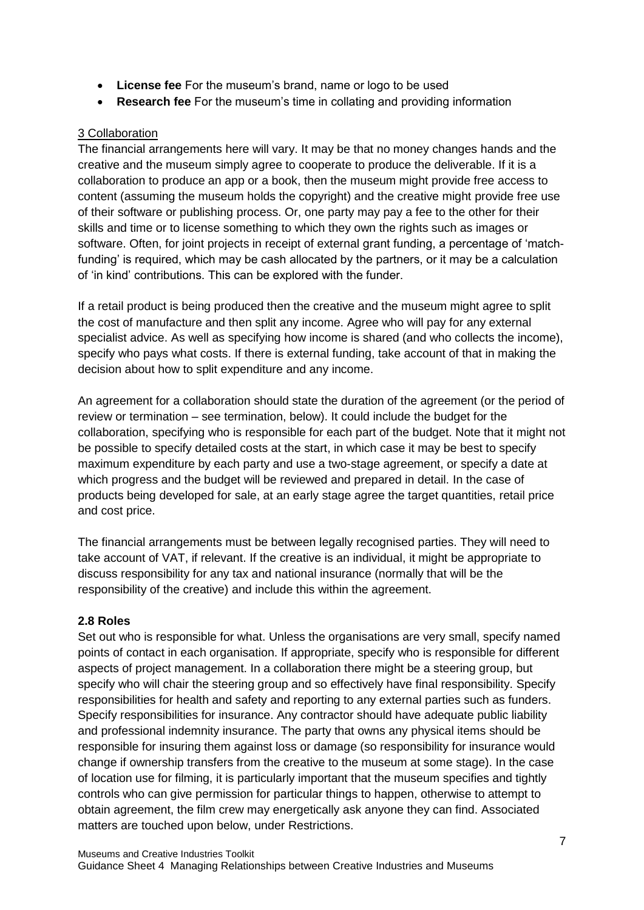- **License fee** For the museum's brand, name or logo to be used
- **Research fee** For the museum's time in collating and providing information

## 3 Collaboration

The financial arrangements here will vary. It may be that no money changes hands and the creative and the museum simply agree to cooperate to produce the deliverable. If it is a collaboration to produce an app or a book, then the museum might provide free access to content (assuming the museum holds the copyright) and the creative might provide free use of their software or publishing process. Or, one party may pay a fee to the other for their skills and time or to license something to which they own the rights such as images or software. Often, for joint projects in receipt of external grant funding, a percentage of 'matchfunding' is required, which may be cash allocated by the partners, or it may be a calculation of 'in kind' contributions. This can be explored with the funder.

If a retail product is being produced then the creative and the museum might agree to split the cost of manufacture and then split any income. Agree who will pay for any external specialist advice. As well as specifying how income is shared (and who collects the income), specify who pays what costs. If there is external funding, take account of that in making the decision about how to split expenditure and any income.

An agreement for a collaboration should state the duration of the agreement (or the period of review or termination – see termination, below). It could include the budget for the collaboration, specifying who is responsible for each part of the budget. Note that it might not be possible to specify detailed costs at the start, in which case it may be best to specify maximum expenditure by each party and use a two-stage agreement, or specify a date at which progress and the budget will be reviewed and prepared in detail. In the case of products being developed for sale, at an early stage agree the target quantities, retail price and cost price.

The financial arrangements must be between legally recognised parties. They will need to take account of VAT, if relevant. If the creative is an individual, it might be appropriate to discuss responsibility for any tax and national insurance (normally that will be the responsibility of the creative) and include this within the agreement.

#### **2.8 Roles**

Set out who is responsible for what. Unless the organisations are very small, specify named points of contact in each organisation. If appropriate, specify who is responsible for different aspects of project management. In a collaboration there might be a steering group, but specify who will chair the steering group and so effectively have final responsibility. Specify responsibilities for health and safety and reporting to any external parties such as funders. Specify responsibilities for insurance. Any contractor should have adequate public liability and professional indemnity insurance. The party that owns any physical items should be responsible for insuring them against loss or damage (so responsibility for insurance would change if ownership transfers from the creative to the museum at some stage). In the case of location use for filming, it is particularly important that the museum specifies and tightly controls who can give permission for particular things to happen, otherwise to attempt to obtain agreement, the film crew may energetically ask anyone they can find. Associated matters are touched upon below, under Restrictions.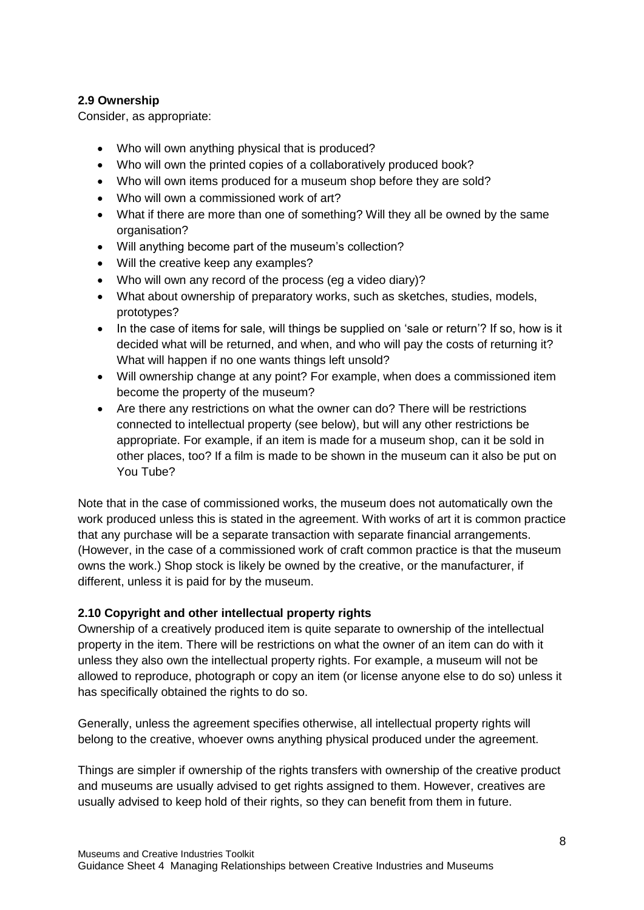## **2.9 Ownership**

Consider, as appropriate:

- Who will own anything physical that is produced?
- Who will own the printed copies of a collaboratively produced book?
- Who will own items produced for a museum shop before they are sold?
- Who will own a commissioned work of art?
- What if there are more than one of something? Will they all be owned by the same organisation?
- Will anything become part of the museum's collection?
- Will the creative keep any examples?
- Who will own any record of the process (eg a video diary)?
- What about ownership of preparatory works, such as sketches, studies, models, prototypes?
- In the case of items for sale, will things be supplied on 'sale or return'? If so, how is it decided what will be returned, and when, and who will pay the costs of returning it? What will happen if no one wants things left unsold?
- Will ownership change at any point? For example, when does a commissioned item become the property of the museum?
- Are there any restrictions on what the owner can do? There will be restrictions connected to intellectual property (see below), but will any other restrictions be appropriate. For example, if an item is made for a museum shop, can it be sold in other places, too? If a film is made to be shown in the museum can it also be put on You Tube?

Note that in the case of commissioned works, the museum does not automatically own the work produced unless this is stated in the agreement. With works of art it is common practice that any purchase will be a separate transaction with separate financial arrangements. (However, in the case of a commissioned work of craft common practice is that the museum owns the work.) Shop stock is likely be owned by the creative, or the manufacturer, if different, unless it is paid for by the museum.

## **2.10 Copyright and other intellectual property rights**

Ownership of a creatively produced item is quite separate to ownership of the intellectual property in the item. There will be restrictions on what the owner of an item can do with it unless they also own the intellectual property rights. For example, a museum will not be allowed to reproduce, photograph or copy an item (or license anyone else to do so) unless it has specifically obtained the rights to do so.

Generally, unless the agreement specifies otherwise, all intellectual property rights will belong to the creative, whoever owns anything physical produced under the agreement.

Things are simpler if ownership of the rights transfers with ownership of the creative product and museums are usually advised to get rights assigned to them. However, creatives are usually advised to keep hold of their rights, so they can benefit from them in future.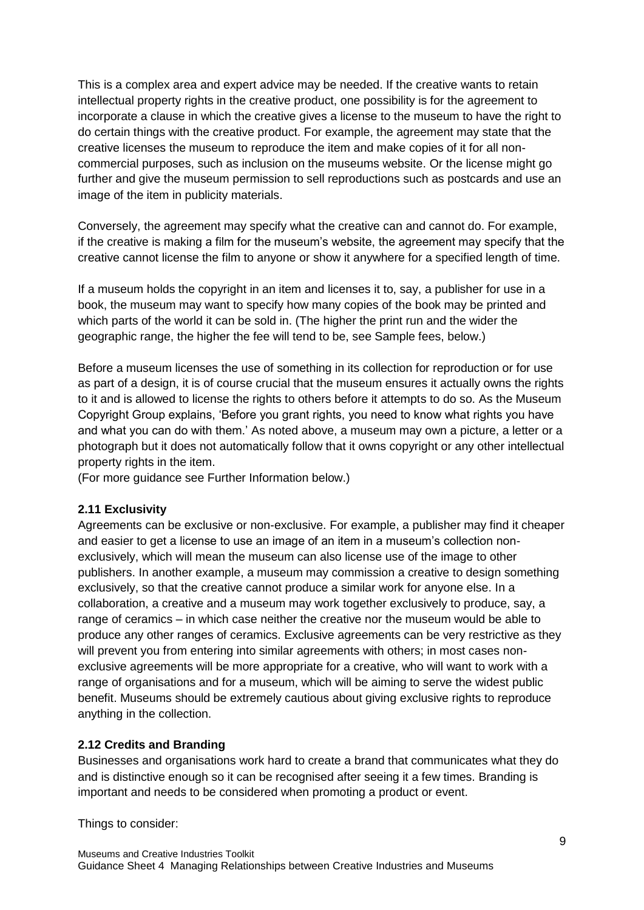This is a complex area and expert advice may be needed. If the creative wants to retain intellectual property rights in the creative product, one possibility is for the agreement to incorporate a clause in which the creative gives a license to the museum to have the right to do certain things with the creative product. For example, the agreement may state that the creative licenses the museum to reproduce the item and make copies of it for all noncommercial purposes, such as inclusion on the museums website. Or the license might go further and give the museum permission to sell reproductions such as postcards and use an image of the item in publicity materials.

Conversely, the agreement may specify what the creative can and cannot do. For example, if the creative is making a film for the museum's website, the agreement may specify that the creative cannot license the film to anyone or show it anywhere for a specified length of time.

If a museum holds the copyright in an item and licenses it to, say, a publisher for use in a book, the museum may want to specify how many copies of the book may be printed and which parts of the world it can be sold in. (The higher the print run and the wider the geographic range, the higher the fee will tend to be, see Sample fees, below.)

Before a museum licenses the use of something in its collection for reproduction or for use as part of a design, it is of course crucial that the museum ensures it actually owns the rights to it and is allowed to license the rights to others before it attempts to do so. As the Museum Copyright Group explains, 'Before you grant rights, you need to know what rights you have and what you can do with them.' As noted above, a museum may own a picture, a letter or a photograph but it does not automatically follow that it owns copyright or any other intellectual property rights in the item.

(For more guidance see Further Information below.)

#### **2.11 Exclusivity**

Agreements can be exclusive or non-exclusive. For example, a publisher may find it cheaper and easier to get a license to use an image of an item in a museum's collection nonexclusively, which will mean the museum can also license use of the image to other publishers. In another example, a museum may commission a creative to design something exclusively, so that the creative cannot produce a similar work for anyone else. In a collaboration, a creative and a museum may work together exclusively to produce, say, a range of ceramics – in which case neither the creative nor the museum would be able to produce any other ranges of ceramics. Exclusive agreements can be very restrictive as they will prevent you from entering into similar agreements with others; in most cases nonexclusive agreements will be more appropriate for a creative, who will want to work with a range of organisations and for a museum, which will be aiming to serve the widest public benefit. Museums should be extremely cautious about giving exclusive rights to reproduce anything in the collection.

#### **2.12 Credits and Branding**

Businesses and organisations work hard to create a brand that communicates what they do and is distinctive enough so it can be recognised after seeing it a few times. Branding is important and needs to be considered when promoting a product or event.

Things to consider: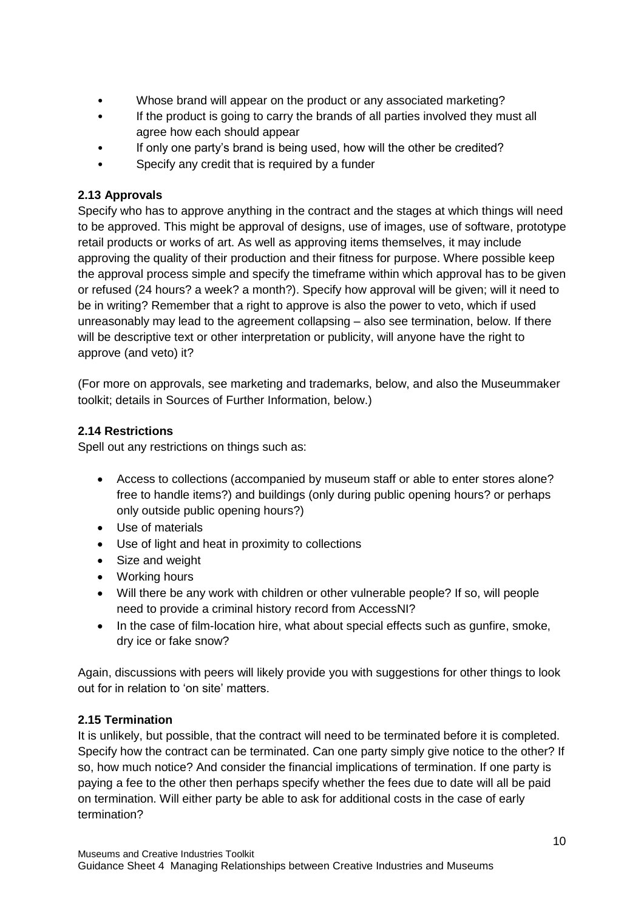- Whose brand will appear on the product or any associated marketing?
- If the product is going to carry the brands of all parties involved they must all agree how each should appear
- If only one party's brand is being used, how will the other be credited?
- Specify any credit that is required by a funder

## **2.13 Approvals**

Specify who has to approve anything in the contract and the stages at which things will need to be approved. This might be approval of designs, use of images, use of software, prototype retail products or works of art. As well as approving items themselves, it may include approving the quality of their production and their fitness for purpose. Where possible keep the approval process simple and specify the timeframe within which approval has to be given or refused (24 hours? a week? a month?). Specify how approval will be given; will it need to be in writing? Remember that a right to approve is also the power to veto, which if used unreasonably may lead to the agreement collapsing – also see termination, below. If there will be descriptive text or other interpretation or publicity, will anyone have the right to approve (and veto) it?

(For more on approvals, see marketing and trademarks, below, and also the Museummaker toolkit; details in Sources of Further Information, below.)

## **2.14 Restrictions**

Spell out any restrictions on things such as:

- Access to collections (accompanied by museum staff or able to enter stores alone? free to handle items?) and buildings (only during public opening hours? or perhaps only outside public opening hours?)
- Use of materials
- Use of light and heat in proximity to collections
- Size and weight
- Working hours
- Will there be any work with children or other vulnerable people? If so, will people need to provide a criminal history record from AccessNI?
- In the case of film-location hire, what about special effects such as qunfire, smoke, dry ice or fake snow?

Again, discussions with peers will likely provide you with suggestions for other things to look out for in relation to 'on site' matters.

## **2.15 Termination**

It is unlikely, but possible, that the contract will need to be terminated before it is completed. Specify how the contract can be terminated. Can one party simply give notice to the other? If so, how much notice? And consider the financial implications of termination. If one party is paying a fee to the other then perhaps specify whether the fees due to date will all be paid on termination. Will either party be able to ask for additional costs in the case of early termination?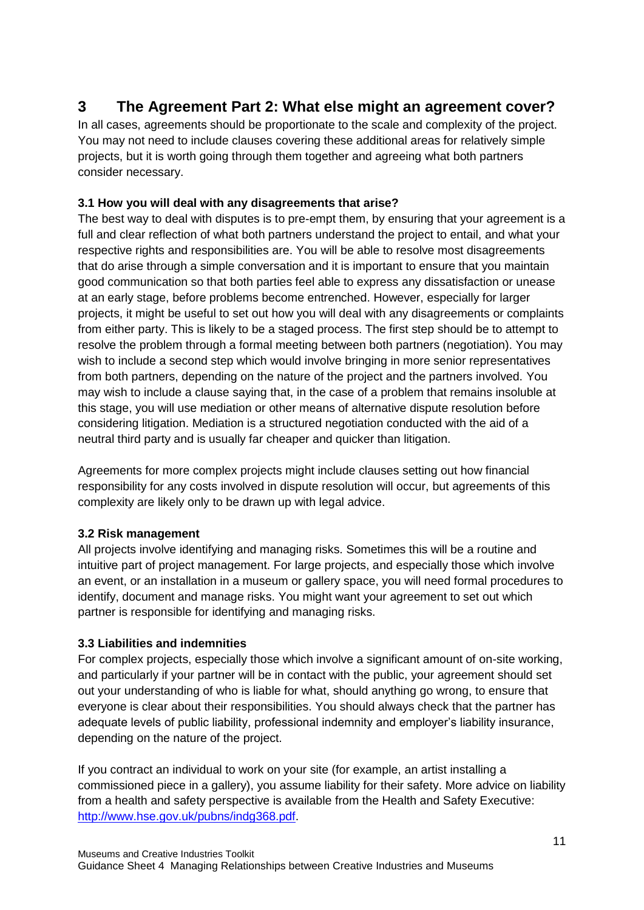# **3 The Agreement Part 2: What else might an agreement cover?**

In all cases, agreements should be proportionate to the scale and complexity of the project. You may not need to include clauses covering these additional areas for relatively simple projects, but it is worth going through them together and agreeing what both partners consider necessary.

# **3.1 How you will deal with any disagreements that arise?**

The best way to deal with disputes is to pre-empt them, by ensuring that your agreement is a full and clear reflection of what both partners understand the project to entail, and what your respective rights and responsibilities are. You will be able to resolve most disagreements that do arise through a simple conversation and it is important to ensure that you maintain good communication so that both parties feel able to express any dissatisfaction or unease at an early stage, before problems become entrenched. However, especially for larger projects, it might be useful to set out how you will deal with any disagreements or complaints from either party. This is likely to be a staged process. The first step should be to attempt to resolve the problem through a formal meeting between both partners (negotiation). You may wish to include a second step which would involve bringing in more senior representatives from both partners, depending on the nature of the project and the partners involved. You may wish to include a clause saying that, in the case of a problem that remains insoluble at this stage, you will use mediation or other means of alternative dispute resolution before considering litigation. Mediation is a structured negotiation conducted with the aid of a neutral third party and is usually far cheaper and quicker than litigation.

Agreements for more complex projects might include clauses setting out how financial responsibility for any costs involved in dispute resolution will occur, but agreements of this complexity are likely only to be drawn up with legal advice.

## **3.2 Risk management**

All projects involve identifying and managing risks. Sometimes this will be a routine and intuitive part of project management. For large projects, and especially those which involve an event, or an installation in a museum or gallery space, you will need formal procedures to identify, document and manage risks. You might want your agreement to set out which partner is responsible for identifying and managing risks.

## **3.3 Liabilities and indemnities**

For complex projects, especially those which involve a significant amount of on-site working, and particularly if your partner will be in contact with the public, your agreement should set out your understanding of who is liable for what, should anything go wrong, to ensure that everyone is clear about their responsibilities. You should always check that the partner has adequate levels of public liability, professional indemnity and employer's liability insurance, depending on the nature of the project.

If you contract an individual to work on your site (for example, an artist installing a commissioned piece in a gallery), you assume liability for their safety. More advice on liability from a health and safety perspective is available from the Health and Safety Executive: [http://www.hse.gov.uk/pubns/indg368.pdf.](http://www.hse.gov.uk/pubns/indg368.pdf)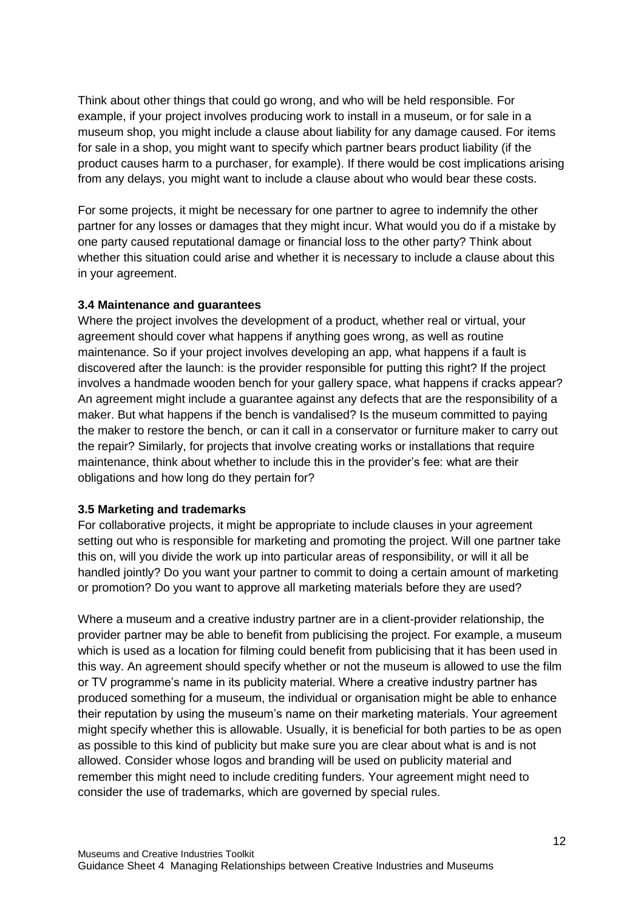Think about other things that could go wrong, and who will be held responsible. For example, if your project involves producing work to install in a museum, or for sale in a museum shop, you might include a clause about liability for any damage caused. For items for sale in a shop, you might want to specify which partner bears product liability (if the product causes harm to a purchaser, for example). If there would be cost implications arising from any delays, you might want to include a clause about who would bear these costs.

For some projects, it might be necessary for one partner to agree to indemnify the other partner for any losses or damages that they might incur. What would you do if a mistake by one party caused reputational damage or financial loss to the other party? Think about whether this situation could arise and whether it is necessary to include a clause about this in your agreement.

#### **3.4 Maintenance and guarantees**

Where the project involves the development of a product, whether real or virtual, your agreement should cover what happens if anything goes wrong, as well as routine maintenance. So if your project involves developing an app, what happens if a fault is discovered after the launch: is the provider responsible for putting this right? If the project involves a handmade wooden bench for your gallery space, what happens if cracks appear? An agreement might include a guarantee against any defects that are the responsibility of a maker. But what happens if the bench is vandalised? Is the museum committed to paying the maker to restore the bench, or can it call in a conservator or furniture maker to carry out the repair? Similarly, for projects that involve creating works or installations that require maintenance, think about whether to include this in the provider's fee: what are their obligations and how long do they pertain for?

## **3.5 Marketing and trademarks**

For collaborative projects, it might be appropriate to include clauses in your agreement setting out who is responsible for marketing and promoting the project. Will one partner take this on, will you divide the work up into particular areas of responsibility, or will it all be handled jointly? Do you want your partner to commit to doing a certain amount of marketing or promotion? Do you want to approve all marketing materials before they are used?

Where a museum and a creative industry partner are in a client-provider relationship, the provider partner may be able to benefit from publicising the project. For example, a museum which is used as a location for filming could benefit from publicising that it has been used in this way. An agreement should specify whether or not the museum is allowed to use the film or TV programme's name in its publicity material. Where a creative industry partner has produced something for a museum, the individual or organisation might be able to enhance their reputation by using the museum's name on their marketing materials. Your agreement might specify whether this is allowable. Usually, it is beneficial for both parties to be as open as possible to this kind of publicity but make sure you are clear about what is and is not allowed. Consider whose logos and branding will be used on publicity material and remember this might need to include crediting funders. Your agreement might need to consider the use of trademarks, which are governed by special rules.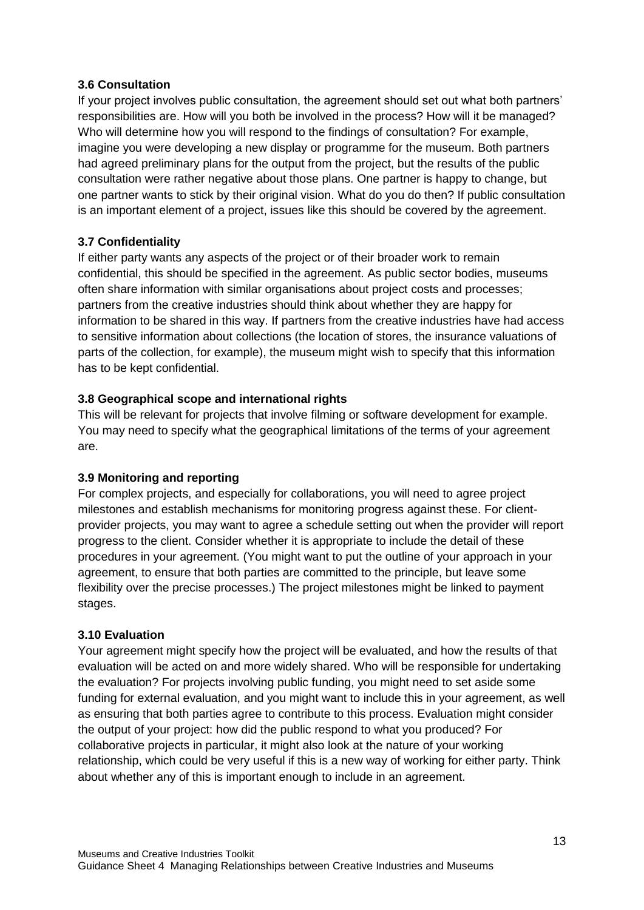#### **3.6 Consultation**

If your project involves public consultation, the agreement should set out what both partners' responsibilities are. How will you both be involved in the process? How will it be managed? Who will determine how you will respond to the findings of consultation? For example, imagine you were developing a new display or programme for the museum. Both partners had agreed preliminary plans for the output from the project, but the results of the public consultation were rather negative about those plans. One partner is happy to change, but one partner wants to stick by their original vision. What do you do then? If public consultation is an important element of a project, issues like this should be covered by the agreement.

## **3.7 Confidentiality**

If either party wants any aspects of the project or of their broader work to remain confidential, this should be specified in the agreement. As public sector bodies, museums often share information with similar organisations about project costs and processes; partners from the creative industries should think about whether they are happy for information to be shared in this way. If partners from the creative industries have had access to sensitive information about collections (the location of stores, the insurance valuations of parts of the collection, for example), the museum might wish to specify that this information has to be kept confidential.

#### **3.8 Geographical scope and international rights**

This will be relevant for projects that involve filming or software development for example. You may need to specify what the geographical limitations of the terms of your agreement are.

#### **3.9 Monitoring and reporting**

For complex projects, and especially for collaborations, you will need to agree project milestones and establish mechanisms for monitoring progress against these. For clientprovider projects, you may want to agree a schedule setting out when the provider will report progress to the client. Consider whether it is appropriate to include the detail of these procedures in your agreement. (You might want to put the outline of your approach in your agreement, to ensure that both parties are committed to the principle, but leave some flexibility over the precise processes.) The project milestones might be linked to payment stages.

#### **3.10 Evaluation**

Your agreement might specify how the project will be evaluated, and how the results of that evaluation will be acted on and more widely shared. Who will be responsible for undertaking the evaluation? For projects involving public funding, you might need to set aside some funding for external evaluation, and you might want to include this in your agreement, as well as ensuring that both parties agree to contribute to this process. Evaluation might consider the output of your project: how did the public respond to what you produced? For collaborative projects in particular, it might also look at the nature of your working relationship, which could be very useful if this is a new way of working for either party. Think about whether any of this is important enough to include in an agreement.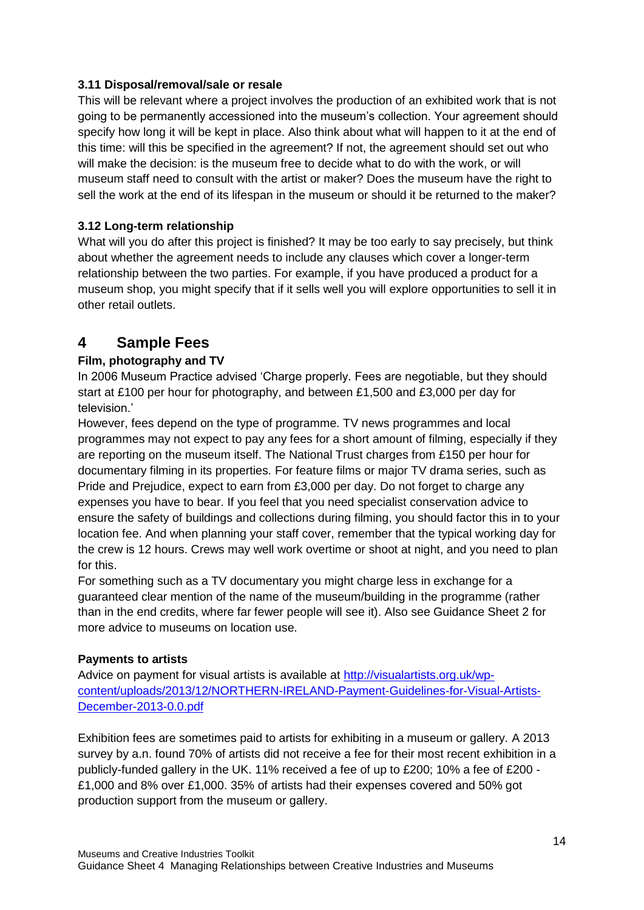## **3.11 Disposal/removal/sale or resale**

This will be relevant where a project involves the production of an exhibited work that is not going to be permanently accessioned into the museum's collection. Your agreement should specify how long it will be kept in place. Also think about what will happen to it at the end of this time: will this be specified in the agreement? If not, the agreement should set out who will make the decision: is the museum free to decide what to do with the work, or will museum staff need to consult with the artist or maker? Does the museum have the right to sell the work at the end of its lifespan in the museum or should it be returned to the maker?

# **3.12 Long-term relationship**

What will you do after this project is finished? It may be too early to say precisely, but think about whether the agreement needs to include any clauses which cover a longer-term relationship between the two parties. For example, if you have produced a product for a museum shop, you might specify that if it sells well you will explore opportunities to sell it in other retail outlets.

# **4 Sample Fees**

# **Film, photography and TV**

In 2006 Museum Practice advised 'Charge properly. Fees are negotiable, but they should start at £100 per hour for photography, and between £1,500 and £3,000 per day for television.'

However, fees depend on the type of programme. TV news programmes and local programmes may not expect to pay any fees for a short amount of filming, especially if they are reporting on the museum itself. The National Trust charges from £150 per hour for documentary filming in its properties. For feature films or major TV drama series, such as Pride and Prejudice, expect to earn from £3,000 per day. Do not forget to charge any expenses you have to bear. If you feel that you need specialist conservation advice to ensure the safety of buildings and collections during filming, you should factor this in to your location fee. And when planning your staff cover, remember that the typical working day for the crew is 12 hours. Crews may well work overtime or shoot at night, and you need to plan for this.

For something such as a TV documentary you might charge less in exchange for a guaranteed clear mention of the name of the museum/building in the programme (rather than in the end credits, where far fewer people will see it). Also see Guidance Sheet 2 for more advice to museums on location use.

## **Payments to artists**

Advice on payment for visual artists is available at [http://visualartists.org.uk/wp](http://visualartists.org.uk/wp-content/uploads/2013/12/NORTHERN-IRELAND-Payment-Guidelines-for-Visual-Artists-December-2013-0.0.pdf)[content/uploads/2013/12/NORTHERN-IRELAND-Payment-Guidelines-for-Visual-Artists-](http://visualartists.org.uk/wp-content/uploads/2013/12/NORTHERN-IRELAND-Payment-Guidelines-for-Visual-Artists-December-2013-0.0.pdf)[December-2013-0.0.pdf](http://visualartists.org.uk/wp-content/uploads/2013/12/NORTHERN-IRELAND-Payment-Guidelines-for-Visual-Artists-December-2013-0.0.pdf)

Exhibition fees are sometimes paid to artists for exhibiting in a museum or gallery. A 2013 survey by a.n. found 70% of artists did not receive a fee for their most recent exhibition in a publicly-funded gallery in the UK. 11% received a fee of up to £200; 10% a fee of £200 - £1,000 and 8% over £1,000. 35% of artists had their expenses covered and 50% got production support from the museum or gallery.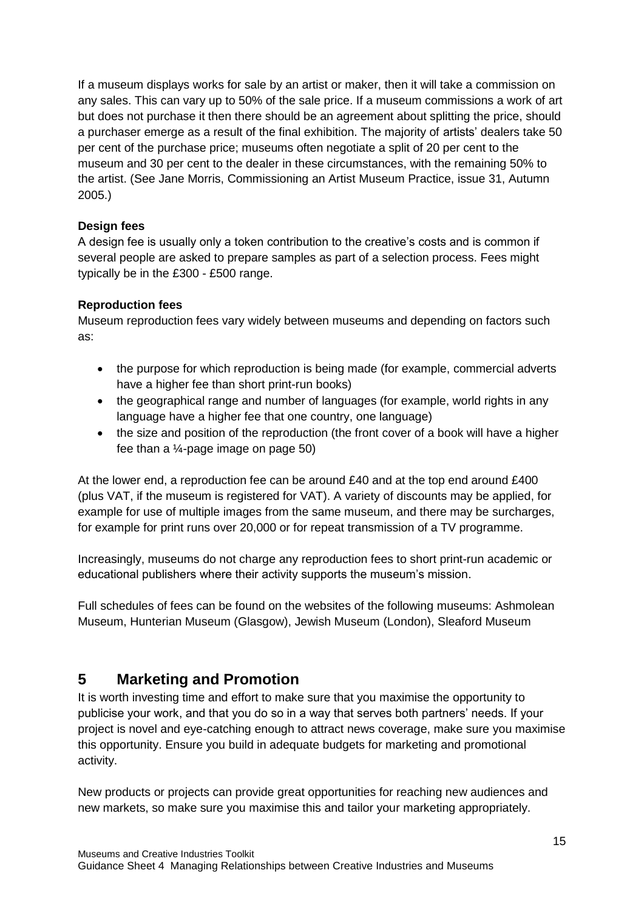If a museum displays works for sale by an artist or maker, then it will take a commission on any sales. This can vary up to 50% of the sale price. If a museum commissions a work of art but does not purchase it then there should be an agreement about splitting the price, should a purchaser emerge as a result of the final exhibition. The majority of artists' dealers take 50 per cent of the purchase price; museums often negotiate a split of 20 per cent to the museum and 30 per cent to the dealer in these circumstances, with the remaining 50% to the artist. (See Jane Morris, Commissioning an Artist Museum Practice, issue 31, Autumn 2005.)

## **Design fees**

A design fee is usually only a token contribution to the creative's costs and is common if several people are asked to prepare samples as part of a selection process. Fees might typically be in the £300 - £500 range.

# **Reproduction fees**

Museum reproduction fees vary widely between museums and depending on factors such as:

- the purpose for which reproduction is being made (for example, commercial adverts have a higher fee than short print-run books)
- the geographical range and number of languages (for example, world rights in any language have a higher fee that one country, one language)
- the size and position of the reproduction (the front cover of a book will have a higher fee than a  $\frac{1}{4}$ -page image on page 50)

At the lower end, a reproduction fee can be around £40 and at the top end around £400 (plus VAT, if the museum is registered for VAT). A variety of discounts may be applied, for example for use of multiple images from the same museum, and there may be surcharges, for example for print runs over 20,000 or for repeat transmission of a TV programme.

Increasingly, museums do not charge any reproduction fees to short print-run academic or educational publishers where their activity supports the museum's mission.

Full schedules of fees can be found on the websites of the following museums: Ashmolean Museum, Hunterian Museum (Glasgow), Jewish Museum (London), Sleaford Museum

# **5 Marketing and Promotion**

It is worth investing time and effort to make sure that you maximise the opportunity to publicise your work, and that you do so in a way that serves both partners' needs. If your project is novel and eye-catching enough to attract news coverage, make sure you maximise this opportunity. Ensure you build in adequate budgets for marketing and promotional activity.

New products or projects can provide great opportunities for reaching new audiences and new markets, so make sure you maximise this and tailor your marketing appropriately.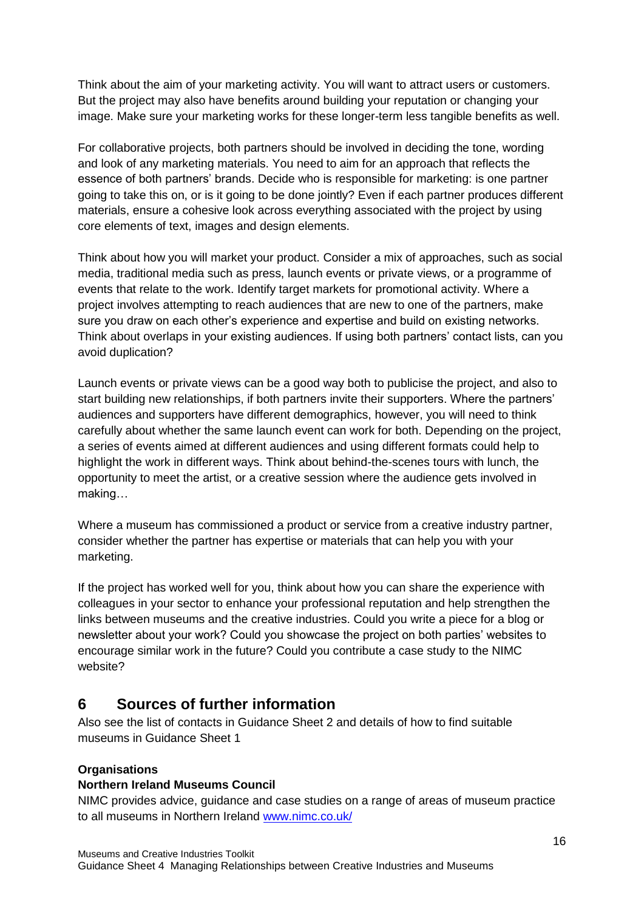Think about the aim of your marketing activity. You will want to attract users or customers. But the project may also have benefits around building your reputation or changing your image. Make sure your marketing works for these longer-term less tangible benefits as well.

For collaborative projects, both partners should be involved in deciding the tone, wording and look of any marketing materials. You need to aim for an approach that reflects the essence of both partners' brands. Decide who is responsible for marketing: is one partner going to take this on, or is it going to be done jointly? Even if each partner produces different materials, ensure a cohesive look across everything associated with the project by using core elements of text, images and design elements.

Think about how you will market your product. Consider a mix of approaches, such as social media, traditional media such as press, launch events or private views, or a programme of events that relate to the work. Identify target markets for promotional activity. Where a project involves attempting to reach audiences that are new to one of the partners, make sure you draw on each other's experience and expertise and build on existing networks. Think about overlaps in your existing audiences. If using both partners' contact lists, can you avoid duplication?

Launch events or private views can be a good way both to publicise the project, and also to start building new relationships, if both partners invite their supporters. Where the partners' audiences and supporters have different demographics, however, you will need to think carefully about whether the same launch event can work for both. Depending on the project, a series of events aimed at different audiences and using different formats could help to highlight the work in different ways. Think about behind-the-scenes tours with lunch, the opportunity to meet the artist, or a creative session where the audience gets involved in making…

Where a museum has commissioned a product or service from a creative industry partner, consider whether the partner has expertise or materials that can help you with your marketing.

If the project has worked well for you, think about how you can share the experience with colleagues in your sector to enhance your professional reputation and help strengthen the links between museums and the creative industries. Could you write a piece for a blog or newsletter about your work? Could you showcase the project on both parties' websites to encourage similar work in the future? Could you contribute a case study to the NIMC website?

# **6 Sources of further information**

Also see the list of contacts in Guidance Sheet 2 and details of how to find suitable museums in Guidance Sheet 1

#### **Organisations**

#### **Northern Ireland Museums Council**

NIMC provides advice, guidance and case studies on a range of areas of museum practice to all museums in Northern Ireland [www.nimc.co.uk/](http://www.nimc.co.uk/)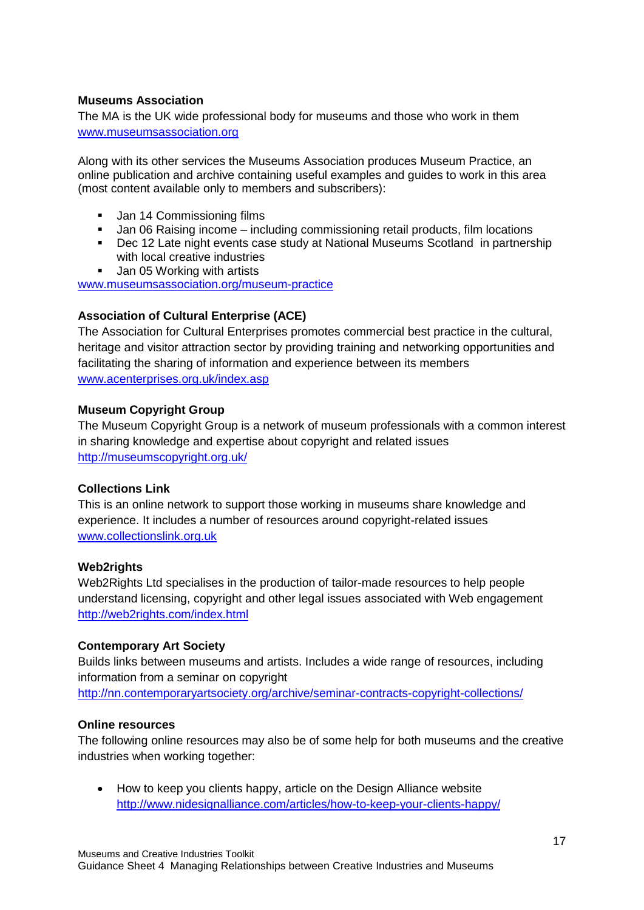#### **Museums Association**

The MA is the UK wide professional body for museums and those who work in them [www.museumsassociation.org](http://www.museumsassociation.org/)

Along with its other services the Museums Association produces Museum Practice, an online publication and archive containing useful examples and guides to work in this area (most content available only to members and subscribers):

- **Jan 14 Commissioning films**
- Jan 06 Raising income including commissioning retail products, film locations
- Dec 12 Late night events case study at National Museums Scotland in partnership with local creative industries
- **Jan 05 Working with artists**

[www.museumsassociation.org/museum-practice](http://www.museumsassociation.org/museum-practice)

#### **Association of Cultural Enterprise (ACE)**

The Association for Cultural Enterprises promotes commercial best practice in the cultural, heritage and visitor attraction sector by providing training and networking opportunities and facilitating the sharing of information and experience between its members [www.acenterprises.org.uk/index.asp](http://www.acenterprises.org.uk/index.asp)

#### **Museum Copyright Group**

The Museum Copyright Group is a network of museum professionals with a common interest in sharing knowledge and expertise about copyright and related issues <http://museumscopyright.org.uk/>

#### **Collections Link**

This is an online network to support those working in museums share knowledge and experience. It includes a number of resources around copyright-related issues [www.collectionslink.org.uk](http://www.collectionslink.org.uk/)

#### **Web2rights**

Web2Rights Ltd specialises in the production of tailor-made resources to help people understand licensing, copyright and other legal issues associated with Web engagement <http://web2rights.com/index.html>

#### **Contemporary Art Society**

Builds links between museums and artists. Includes a wide range of resources, including information from a seminar on copyright <http://nn.contemporaryartsociety.org/archive/seminar-contracts-copyright-collections/>

#### **Online resources**

The following online resources may also be of some help for both museums and the creative industries when working together:

 How to keep you clients happy, article on the Design Alliance website <http://www.nidesignalliance.com/articles/how-to-keep-your-clients-happy/>